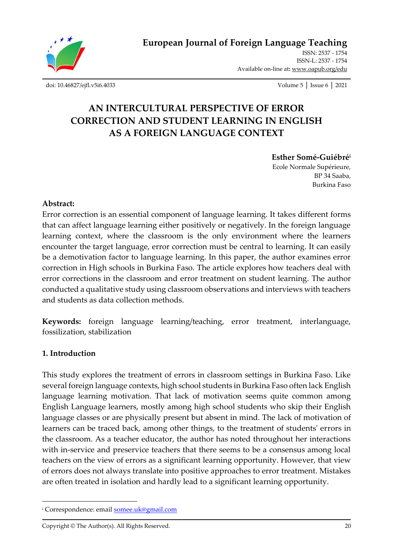

**[European Journal of Foreign Language Teaching](http://oapub.org/edu/index.php/ejfl)**

[ISSN: 2537 -](http://oapub.org/edu/index.php/ejes) 1754 [ISSN-L:](http://oapub.org/edu/index.php/ejes) 2537 - 1754 Available on-line at**:** [www.oapub.org/edu](http://www.oapub.org/edu)

[doi: 10.46827/ejfl.v5i6.4033](http://dx.doi.org/10.46827/ejfl.v5i6.4033) Volume 5 │ Issue 6 │ 2021

# **AN INTERCULTURAL PERSPECTIVE OF ERROR CORRECTION AND STUDENT LEARNING IN ENGLISH AS A FOREIGN LANGUAGE CONTEXT**

**Esther Somé-Guiébré<sup>i</sup>**

Ecole Normale Supérieure, BP 34 Saaba, Burkina Faso

## **Abstract:**

Error correction is an essential component of language learning. It takes different forms that can affect language learning either positively or negatively. In the foreign language learning context, where the classroom is the only environment where the learners encounter the target language, error correction must be central to learning. It can easily be a demotivation factor to language learning. In this paper, the author examines error correction in High schools in Burkina Faso. The article explores how teachers deal with error corrections in the classroom and error treatment on student learning. The author conducted a qualitative study using classroom observations and interviews with teachers and students as data collection methods.

**Keywords:** foreign language learning/teaching, error treatment, interlanguage, fossilization, stabilization

## **1. Introduction**

This study explores the treatment of errors in classroom settings in Burkina Faso. Like several foreign language contexts, high school students in Burkina Faso often lack English language learning motivation. That lack of motivation seems quite common among English Language learners, mostly among high school students who skip their English language classes or are physically present but absent in mind. The lack of motivation of learners can be traced back, among other things, to the treatment of students' errors in the classroom. As a teacher educator, the author has noted throughout her interactions with in-service and preservice teachers that there seems to be a consensus among local teachers on the view of errors as a significant learning opportunity. However, that view of errors does not always translate into positive approaches to error treatment. Mistakes are often treated in isolation and hardly lead to a significant learning opportunity.

<sup>&</sup>lt;sup>i</sup> Correspondence: email **somee.uk@gmail.com**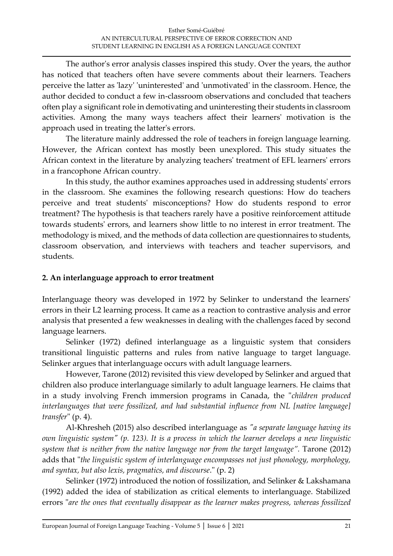The author's error analysis classes inspired this study. Over the years, the author has noticed that teachers often have severe comments about their learners. Teachers perceive the latter as 'lazy' 'uninterested' and 'unmotivated' in the classroom. Hence, the author decided to conduct a few in-classroom observations and concluded that teachers often play a significant role in demotivating and uninteresting their students in classroom activities. Among the many ways teachers affect their learners' motivation is the approach used in treating the latter's errors.

The literature mainly addressed the role of teachers in foreign language learning. However, the African context has mostly been unexplored. This study situates the African context in the literature by analyzing teachers' treatment of EFL learners' errors in a francophone African country.

In this study, the author examines approaches used in addressing students' errors in the classroom. She examines the following research questions: How do teachers perceive and treat students' misconceptions? How do students respond to error treatment? The hypothesis is that teachers rarely have a positive reinforcement attitude towards students' errors, and learners show little to no interest in error treatment. The methodology is mixed, and the methods of data collection are questionnaires to students, classroom observation, and interviews with teachers and teacher supervisors, and students.

## **2. An interlanguage approach to error treatment**

Interlanguage theory was developed in 1972 by Selinker to understand the learners' errors in their L2 learning process. It came as a reaction to contrastive analysis and error analysis that presented a few weaknesses in dealing with the challenges faced by second language learners.

Selinker (1972) defined interlanguage as a linguistic system that considers transitional linguistic patterns and rules from native language to target language. Selinker argues that interlanguage occurs with adult language learners.

However, Tarone (2012) revisited this view developed by Selinker and argued that children also produce interlanguage similarly to adult language learners. He claims that in a study involving French immersion programs in Canada, the "*children produced interlanguages that were fossilized, and had substantial influence from NL [native language] transfer*" (p. 4).

Al-Khresheh (2015) also described interlanguage as *"a separate language having its own linguistic system" (p. 123). It is a process in which the learner develops a new linguistic system that is neither from the native language nor from the target language".* Tarone (2012) adds that "*the linguistic system of interlanguage encompasses not just phonology, morphology, and syntax, but also lexis, pragmatics, and discourse*." (p. 2)

Selinker (1972) introduced the notion of fossilization, and Selinker & Lakshamana (1992) added the idea of stabilization as critical elements to interlanguage. Stabilized errors "*are the ones that eventually disappear as the learner makes progress, whereas fossilized*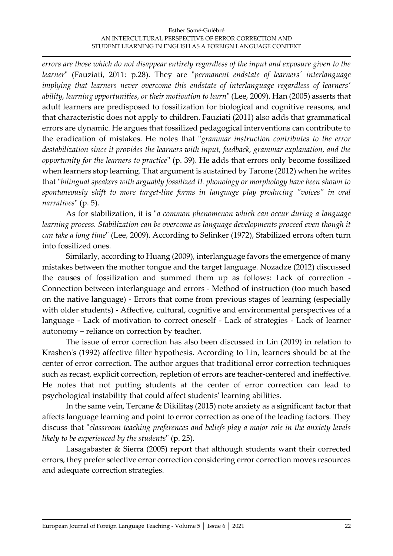*errors are those which do not disappear entirely regardless of the input and exposure given to the learner*" (Fauziati, 2011: p.28). They are "*permanent endstate of learners' interlanguage implying that learners never overcome this endstate of interlanguage regardless of learners' ability, learning opportunities, or their motivation to learn*" (Lee, 2009). Han (2005) asserts that adult learners are predisposed to fossilization for biological and cognitive reasons, and that characteristic does not apply to children. Fauziati (2011) also adds that grammatical errors are dynamic. He argues that fossilized pedagogical interventions can contribute to the eradication of mistakes. He notes that "*grammar instruction contributes to the error destabilization since it provides the learners with input, feedback, grammar explanation, and the opportunity for the learners to practice*" (p. 39). He adds that errors only become fossilized when learners stop learning. That argument is sustained by Tarone (2012) when he writes that "*bilingual speakers with arguably fossilized IL phonology or morphology have been shown to spontaneously shift to more target-line forms in language play producing "voices" in oral narratives*" (p. 5).

As for stabilization, it is "*a common phenomenon which can occur during a language*  learning process. Stabilization can be overcome as language developments proceed even though it *can take a long time*" (Lee, 2009). According to Selinker (1972), Stabilized errors often turn into fossilized ones.

Similarly, according to Huang (2009), interlanguage favors the emergence of many mistakes between the mother tongue and the target language. Nozadze (2012) discussed the causes of fossilization and summed them up as follows: Lack of correction - Connection between interlanguage and errors - Method of instruction (too much based on the native language) - Errors that come from previous stages of learning (especially with older students) - Affective, cultural, cognitive and environmental perspectives of a language - Lack of motivation to correct oneself - Lack of strategies - Lack of learner autonomy – reliance on correction by teacher.

The issue of error correction has also been discussed in Lin (2019) in relation to Krashen's (1992) affective filter hypothesis. According to Lin, learners should be at the center of error correction. The author argues that traditional error correction techniques such as recast, explicit correction, repletion of errors are teacher-centered and ineffective. He notes that not putting students at the center of error correction can lead to psychological instability that could affect students' learning abilities.

In the same vein, Tercane & Dikilitaş (2015) note anxiety as a significant factor that affects language learning and point to error correction as one of the leading factors. They discuss that "*classroom teaching preferences and beliefs play a major role in the anxiety levels likely to be experienced by the students*" (p. 25).

Lasagabaster & Sierra (2005) report that although students want their corrected errors, they prefer selective error correction considering error correction moves resources and adequate correction strategies.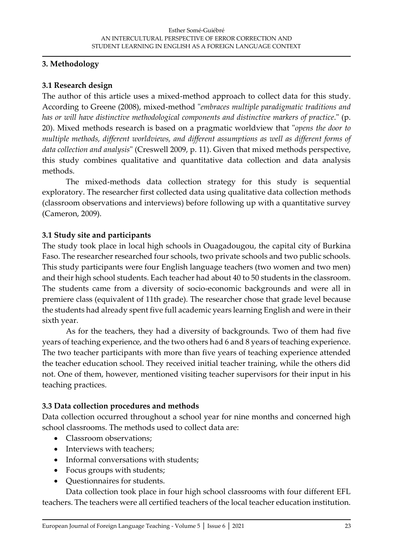## **3. Methodology**

## **3.1 Research design**

The author of this article uses a mixed-method approach to collect data for this study. According to Greene (2008), mixed-method "*embraces multiple paradigmatic traditions and has or will have distinctive methodological components and distinctive markers of practice*." (p. 20). Mixed methods research is based on a pragmatic worldview that "*opens the door to multiple methods, different worldviews, and different assumptions as well as different forms of data collection and analysis*" (Creswell 2009, p. 11). Given that mixed methods perspective, this study combines qualitative and quantitative data collection and data analysis methods.

The mixed-methods data collection strategy for this study is sequential exploratory. The researcher first collected data using qualitative data collection methods (classroom observations and interviews) before following up with a quantitative survey (Cameron, 2009).

## **3.1 Study site and participants**

The study took place in local high schools in Ouagadougou, the capital city of Burkina Faso. The researcher researched four schools, two private schools and two public schools. This study participants were four English language teachers (two women and two men) and their high school students. Each teacher had about 40 to 50 students in the classroom. The students came from a diversity of socio-economic backgrounds and were all in premiere class (equivalent of 11th grade). The researcher chose that grade level because the students had already spent five full academic years learning English and were in their sixth year.

As for the teachers, they had a diversity of backgrounds. Two of them had five years of teaching experience, and the two others had 6 and 8 years of teaching experience. The two teacher participants with more than five years of teaching experience attended the teacher education school. They received initial teacher training, while the others did not. One of them, however, mentioned visiting teacher supervisors for their input in his teaching practices.

## **3.3 Data collection procedures and methods**

Data collection occurred throughout a school year for nine months and concerned high school classrooms. The methods used to collect data are:

- Classroom observations:
- Interviews with teachers;
- Informal conversations with students;
- Focus groups with students;
- Questionnaires for students.

Data collection took place in four high school classrooms with four different EFL teachers. The teachers were all certified teachers of the local teacher education institution.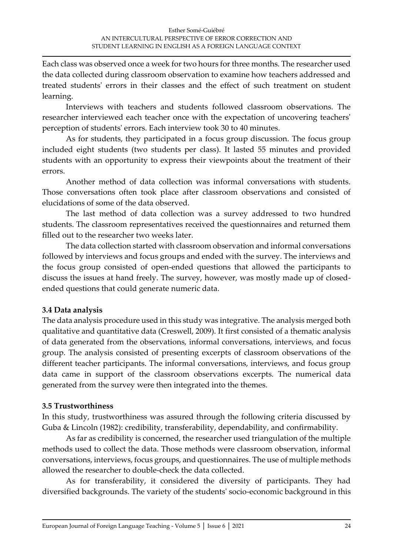Each class was observed once a week for two hours for three months. The researcher used the data collected during classroom observation to examine how teachers addressed and treated students' errors in their classes and the effect of such treatment on student learning.

Interviews with teachers and students followed classroom observations. The researcher interviewed each teacher once with the expectation of uncovering teachers' perception of students' errors. Each interview took 30 to 40 minutes.

As for students, they participated in a focus group discussion. The focus group included eight students (two students per class). It lasted 55 minutes and provided students with an opportunity to express their viewpoints about the treatment of their errors.

Another method of data collection was informal conversations with students. Those conversations often took place after classroom observations and consisted of elucidations of some of the data observed.

The last method of data collection was a survey addressed to two hundred students. The classroom representatives received the questionnaires and returned them filled out to the researcher two weeks later.

The data collection started with classroom observation and informal conversations followed by interviews and focus groups and ended with the survey. The interviews and the focus group consisted of open-ended questions that allowed the participants to discuss the issues at hand freely. The survey, however, was mostly made up of closedended questions that could generate numeric data.

## **3.4 Data analysis**

The data analysis procedure used in this study was integrative. The analysis merged both qualitative and quantitative data (Creswell, 2009). It first consisted of a thematic analysis of data generated from the observations, informal conversations, interviews, and focus group. The analysis consisted of presenting excerpts of classroom observations of the different teacher participants. The informal conversations, interviews, and focus group data came in support of the classroom observations excerpts. The numerical data generated from the survey were then integrated into the themes.

## **3.5 Trustworthiness**

In this study, trustworthiness was assured through the following criteria discussed by Guba & Lincoln (1982): credibility, transferability, dependability, and confirmability.

As far as credibility is concerned, the researcher used triangulation of the multiple methods used to collect the data. Those methods were classroom observation, informal conversations, interviews, focus groups, and questionnaires. The use of multiple methods allowed the researcher to double-check the data collected.

As for transferability, it considered the diversity of participants. They had diversified backgrounds. The variety of the students' socio-economic background in this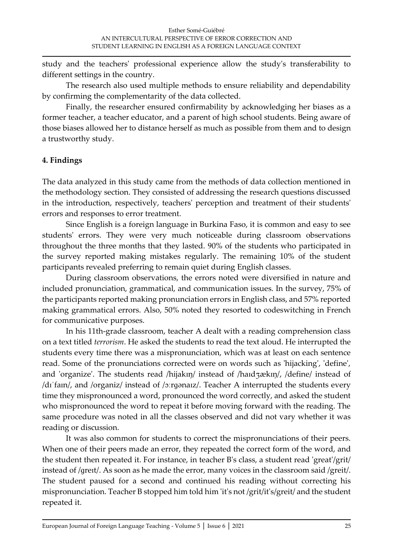study and the teachers' professional experience allow the study's transferability to different settings in the country.

The research also used multiple methods to ensure reliability and dependability by confirming the complementarity of the data collected.

Finally, the researcher ensured confirmability by acknowledging her biases as a former teacher, a teacher educator, and a parent of high school students. Being aware of those biases allowed her to distance herself as much as possible from them and to design a trustworthy study.

## **4. Findings**

The data analyzed in this study came from the methods of data collection mentioned in the methodology section. They consisted of addressing the research questions discussed in the introduction, respectively, teachers' perception and treatment of their students' errors and responses to error treatment.

Since English is a foreign language in Burkina Faso, it is common and easy to see students' errors. They were very much noticeable during classroom observations throughout the three months that they lasted. 90% of the students who participated in the survey reported making mistakes regularly. The remaining 10% of the student participants revealed preferring to remain quiet during English classes.

During classroom observations, the errors noted were diversified in nature and included pronunciation, grammatical, and communication issues. In the survey, 75% of the participants reported making pronunciation errors in English class, and 57% reported making grammatical errors. Also, 50% noted they resorted to codeswitching in French for communicative purposes.

In his 11th-grade classroom, teacher A dealt with a reading comprehension class on a text titled *terrorism*. He asked the students to read the text aloud. He interrupted the students every time there was a mispronunciation, which was at least on each sentence read. Some of the pronunciations corrected were on words such as 'hijacking', 'define', and 'organize'. The students read /hijakɪŋ/ instead of /haɪdʒækɪŋ/, /define/ instead of /dɪˈfaɪn/, and /organiz/ instead of /ɔːrɡənaɪz/. Teacher A interrupted the students every time they mispronounced a word, pronounced the word correctly, and asked the student who mispronounced the word to repeat it before moving forward with the reading. The same procedure was noted in all the classes observed and did not vary whether it was reading or discussion.

It was also common for students to correct the mispronunciations of their peers. When one of their peers made an error, they repeated the correct form of the word, and the student then repeated it. For instance, in teacher B's class, a student read 'great'/grit/ instead of /ɡreɪt/. As soon as he made the error, many voices in the classroom said /greit/. The student paused for a second and continued his reading without correcting his mispronunciation. Teacher B stopped him told him 'it's not /grit/it's/greit/ and the student repeated it.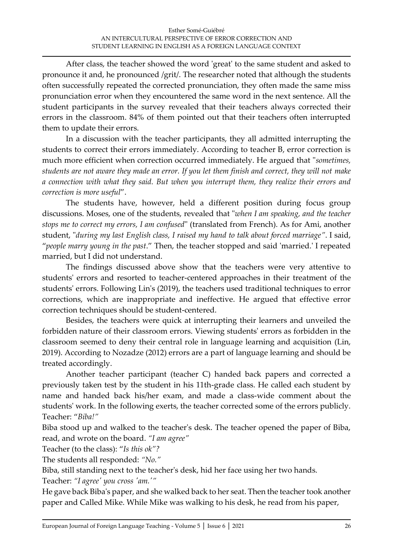After class, the teacher showed the word 'great' to the same student and asked to pronounce it and, he pronounced /grit/. The researcher noted that although the students often successfully repeated the corrected pronunciation, they often made the same miss pronunciation error when they encountered the same word in the next sentence. All the student participants in the survey revealed that their teachers always corrected their errors in the classroom. 84% of them pointed out that their teachers often interrupted them to update their errors.

In a discussion with the teacher participants, they all admitted interrupting the students to correct their errors immediately. According to teacher B, error correction is much more efficient when correction occurred immediately. He argued that "*sometimes, students are not aware they made an error. If you let them finish and correct, they will not make a connection with what they said. But when you interrupt them, they realize their errors and correction is more useful*".

The students have, however, held a different position during focus group discussions. Moses, one of the students, revealed that "*when I am speaking, and the teacher stops me to correct my errors, I am confused*" (translated from French). As for Ami, another student, "*during my last English class, I raised my hand to talk about forced marriage"*. I said, "*people marry young in the past*." Then, the teacher stopped and said 'married.' I repeated married, but I did not understand.

The findings discussed above show that the teachers were very attentive to students' errors and resorted to teacher-centered approaches in their treatment of the students' errors. Following Lin's (2019), the teachers used traditional techniques to error corrections, which are inappropriate and ineffective. He argued that effective error correction techniques should be student-centered.

Besides, the teachers were quick at interrupting their learners and unveiled the forbidden nature of their classroom errors. Viewing students' errors as forbidden in the classroom seemed to deny their central role in language learning and acquisition (Lin, 2019). According to Nozadze (2012) errors are a part of language learning and should be treated accordingly.

Another teacher participant (teacher C) handed back papers and corrected a previously taken test by the student in his 11th-grade class. He called each student by name and handed back his/her exam, and made a class-wide comment about the students' work. In the following exerts, the teacher corrected some of the errors publicly. Teacher: "*Biba!"*

Biba stood up and walked to the teacher's desk. The teacher opened the paper of Biba, read, and wrote on the board. *"I am agree"*

Teacher (to the class): "*Is this ok"?*

The students all responded: *"No."*

Biba, still standing next to the teacher's desk, hid her face using her two hands.

Teacher: *"I agree' you cross 'am.'"*

He gave back Biba's paper, and she walked back to her seat. Then the teacher took another paper and Called Mike. While Mike was walking to his desk, he read from his paper,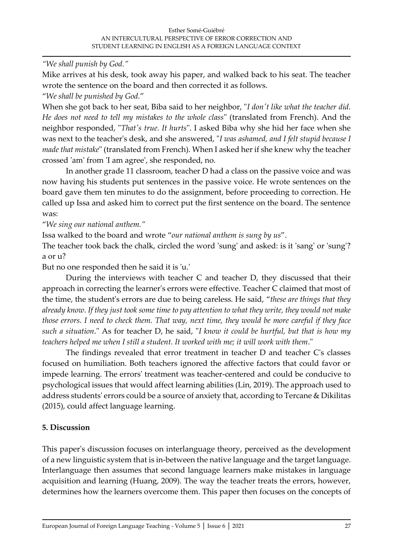*"We shall punish by God."*

Mike arrives at his desk, took away his paper, and walked back to his seat. The teacher wrote the sentence on the board and then corrected it as follows.

"*We shall be punished by God.*"

When she got back to her seat, Biba said to her neighbor, "*I don't like what the teacher did. He does not need to tell my mistakes to the whole class*" (translated from French). And the neighbor responded, "*That's true. It hurts*". I asked Biba why she hid her face when she was next to the teacher's desk, and she answered, "*I was ashamed, and I felt stupid because I made that mistake*" (translated from French). When I asked her if she knew why the teacher crossed 'am' from 'I am agree', she responded, no.

In another grade 11 classroom, teacher D had a class on the passive voice and was now having his students put sentences in the passive voice. He wrote sentences on the board gave them ten minutes to do the assignment, before proceeding to correction. He called up Issa and asked him to correct put the first sentence on the board. The sentence was:

"*We sing our national anthem."*

Issa walked to the board and wrote "*our national anthem is sung by us*".

The teacher took back the chalk, circled the word 'sung' and asked: is it 'sang' or 'sung'? a or u?

But no one responded then he said it is 'u.'

During the interviews with teacher C and teacher D, they discussed that their approach in correcting the learner's errors were effective. Teacher C claimed that most of the time, the student's errors are due to being careless. He said, "*these are things that they already know. If they just took some time to pay attention to what they write, they would not make those errors. I need to check them. That way, next time, they would be more careful if they face such a situation*." As for teacher D, he said, "*I know it could be hurtful, but that is how my teachers helped me when I still a student. It worked with me; it will work with them*."

The findings revealed that error treatment in teacher D and teacher C's classes focused on humiliation. Both teachers ignored the affective factors that could favor or impede learning. The errors' treatment was teacher-centered and could be conducive to psychological issues that would affect learning abilities (Lin, 2019). The approach used to address students' errors could be a source of anxiety that, according to Tercane & Dikilitas (2015), could affect language learning.

## **5. Discussion**

This paper's discussion focuses on interlanguage theory, perceived as the development of a new linguistic system that is in-between the native language and the target language. Interlanguage then assumes that second language learners make mistakes in language acquisition and learning (Huang, 2009). The way the teacher treats the errors, however, determines how the learners overcome them. This paper then focuses on the concepts of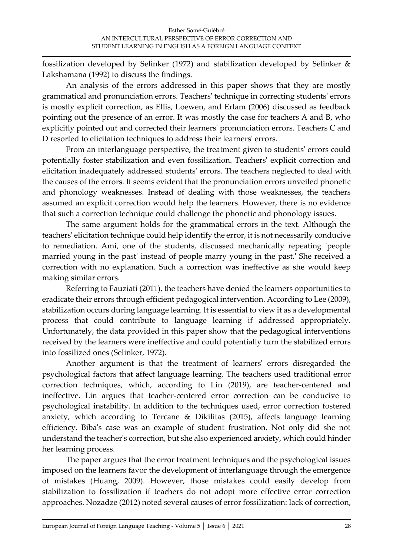fossilization developed by Selinker (1972) and stabilization developed by Selinker & Lakshamana (1992) to discuss the findings.

An analysis of the errors addressed in this paper shows that they are mostly grammatical and pronunciation errors. Teachers' technique in correcting students' errors is mostly explicit correction, as Ellis, Loewen, and Erlam (2006) discussed as feedback pointing out the presence of an error. It was mostly the case for teachers A and B, who explicitly pointed out and corrected their learners' pronunciation errors. Teachers C and D resorted to elicitation techniques to address their learners' errors.

From an interlanguage perspective, the treatment given to students' errors could potentially foster stabilization and even fossilization. Teachers' explicit correction and elicitation inadequately addressed students' errors. The teachers neglected to deal with the causes of the errors. It seems evident that the pronunciation errors unveiled phonetic and phonology weaknesses. Instead of dealing with those weaknesses, the teachers assumed an explicit correction would help the learners. However, there is no evidence that such a correction technique could challenge the phonetic and phonology issues.

The same argument holds for the grammatical errors in the text. Although the teachers' elicitation technique could help identify the error, it is not necessarily conducive to remediation. Ami, one of the students, discussed mechanically repeating 'people married young in the past' instead of people marry young in the past.' She received a correction with no explanation. Such a correction was ineffective as she would keep making similar errors.

Referring to Fauziati (2011), the teachers have denied the learners opportunities to eradicate their errors through efficient pedagogical intervention. According to Lee (2009), stabilization occurs during language learning. It is essential to view it as a developmental process that could contribute to language learning if addressed appropriately. Unfortunately, the data provided in this paper show that the pedagogical interventions received by the learners were ineffective and could potentially turn the stabilized errors into fossilized ones (Selinker, 1972).

Another argument is that the treatment of learners' errors disregarded the psychological factors that affect language learning. The teachers used traditional error correction techniques, which, according to Lin (2019), are teacher-centered and ineffective. Lin argues that teacher-centered error correction can be conducive to psychological instability. In addition to the techniques used, error correction fostered anxiety, which according to Tercane & Dikilitas (2015), affects language learning efficiency. Biba's case was an example of student frustration. Not only did she not understand the teacher's correction, but she also experienced anxiety, which could hinder her learning process.

The paper argues that the error treatment techniques and the psychological issues imposed on the learners favor the development of interlanguage through the emergence of mistakes (Huang, 2009). However, those mistakes could easily develop from stabilization to fossilization if teachers do not adopt more effective error correction approaches. Nozadze (2012) noted several causes of error fossilization: lack of correction,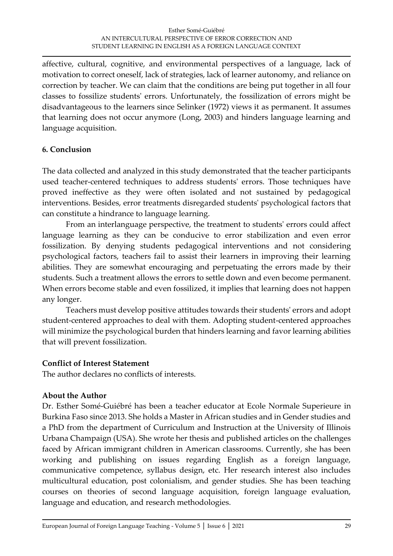affective, cultural, cognitive, and environmental perspectives of a language, lack of motivation to correct oneself, lack of strategies, lack of learner autonomy, and reliance on correction by teacher. We can claim that the conditions are being put together in all four classes to fossilize students' errors. Unfortunately, the fossilization of errors might be disadvantageous to the learners since Selinker (1972) views it as permanent. It assumes that learning does not occur anymore (Long, 2003) and hinders language learning and language acquisition.

## **6. Conclusion**

The data collected and analyzed in this study demonstrated that the teacher participants used teacher-centered techniques to address students' errors. Those techniques have proved ineffective as they were often isolated and not sustained by pedagogical interventions. Besides, error treatments disregarded students' psychological factors that can constitute a hindrance to language learning.

From an interlanguage perspective, the treatment to students' errors could affect language learning as they can be conducive to error stabilization and even error fossilization. By denying students pedagogical interventions and not considering psychological factors, teachers fail to assist their learners in improving their learning abilities. They are somewhat encouraging and perpetuating the errors made by their students. Such a treatment allows the errors to settle down and even become permanent. When errors become stable and even fossilized, it implies that learning does not happen any longer.

Teachers must develop positive attitudes towards their students' errors and adopt student-centered approaches to deal with them. Adopting student-centered approaches will minimize the psychological burden that hinders learning and favor learning abilities that will prevent fossilization.

## **Conflict of Interest Statement**

The author declares no conflicts of interests.

## **About the Author**

Dr. Esther Somé-Guiébré has been a teacher educator at Ecole Normale Superieure in Burkina Faso since 2013. She holds a Master in African studies and in Gender studies and a PhD from the department of Curriculum and Instruction at the University of Illinois Urbana Champaign (USA). She wrote her thesis and published articles on the challenges faced by African immigrant children in American classrooms. Currently, she has been working and publishing on issues regarding English as a foreign language, communicative competence, syllabus design, etc. Her research interest also includes multicultural education, post colonialism, and gender studies. She has been teaching courses on theories of second language acquisition, foreign language evaluation, language and education, and research methodologies.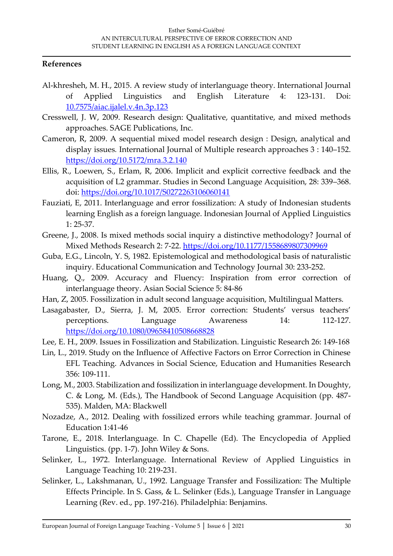#### **References**

- Al-khresheh, M. H., 2015. A review study of interlanguage theory. International Journal of Applied Linguistics and English Literature 4: 123-131. Doi: [10.7575/aiac.ijalel.v.4n.3p.123](http://dx.doi.org/10.7575/aiac.ijalel.v.4n.3p.123)
- Cresswell, J. W, 2009. Research design: Qualitative, quantitative, and mixed methods approaches. SAGE Publications, Inc.
- Cameron, R, 2009. A sequential mixed model research design : Design, analytical and display issues*.* International Journal of Multiple research approaches 3 : 140–152. <https://doi.org/10.5172/mra.3.2.140>
- Ellis, R., Loewen, S., Erlam, R, 2006. Implicit and explicit corrective feedback and the acquisition of L2 grammar. Studies in Second Language Acquisition, 28: 339–368. doi: <https://doi.org/10.1017/S0272263106060141>
- Fauziati, E, 2011. Interlanguage and error fossilization: A study of Indonesian students learning English as a foreign language. Indonesian Journal of Applied Linguistics 1: 25-37.
- Greene, J., 2008. Is mixed methods social inquiry a distinctive methodology? Journal of Mixed Methods Research 2: 7-22. [https://doi.org/10.1177/1558689807309969](https://doi.org/10.1177%2F1558689807309969)
- Guba, E.G., Lincoln, Y. S, 1982. Epistemological and methodological basis of naturalistic inquiry. Educational Communication and Technology Journal 30: 233-252.
- Huang, Q., 2009. Accuracy and Fluency: Inspiration from error correction of interlanguage theory. Asian Social Science 5: 84-86
- Han, Z, 2005. Fossilization in adult second language acquisition, Multilingual Matters.
- Lasagabaster, D., Sierra, J. M, 2005. Error correction: Students' versus teachers' perceptions. Language Awareness 14: 112-127. <https://doi.org/10.1080/09658410508668828>
- Lee, E. H., 2009. Issues in Fossilization and Stabilization. Linguistic Research 26: 149-168
- Lin, L., 2019. Study on the Influence of Affective Factors on Error Correction in Chinese EFL Teaching. Advances in Social Science, Education and Humanities Research 356: 109-111.
- Long, M., 2003. Stabilization and fossilization in interlanguage development. In Doughty, C. & Long, M. (Eds.), The Handbook of Second Language Acquisition (pp. 487- 535). Malden, MA: Blackwell
- Nozadze, A., 2012. Dealing with fossilized errors while teaching grammar. Journal of Education 1:41-46
- Tarone, E., 2018. Interlanguage*.* In C. Chapelle (Ed). The Encyclopedia of Applied Linguistics. (pp. 1-7). John Wiley & Sons.
- Selinker, L., 1972. Interlanguage. International Review of Applied Linguistics in Language Teaching 10: 219-231.
- Selinker, L., Lakshmanan, U., 1992. Language Transfer and Fossilization: The Multiple Effects Principle. In S. Gass, & L. Selinker (Eds.), Language Transfer in Language Learning (Rev. ed., pp. 197-216). Philadelphia: Benjamins.